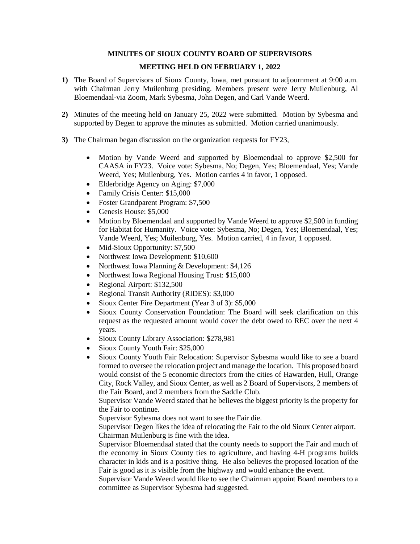# **MINUTES OF SIOUX COUNTY BOARD OF SUPERVISORS**

## **MEETING HELD ON FEBRUARY 1, 2022**

- **1)** The Board of Supervisors of Sioux County, Iowa, met pursuant to adjournment at 9:00 a.m. with Chairman Jerry Muilenburg presiding. Members present were Jerry Muilenburg, Al Bloemendaal-via Zoom, Mark Sybesma, John Degen, and Carl Vande Weerd.
- **2)** Minutes of the meeting held on January 25, 2022 were submitted. Motion by Sybesma and supported by Degen to approve the minutes as submitted. Motion carried unanimously.
- **3)** The Chairman began discussion on the organization requests for FY23,
	- Motion by Vande Weerd and supported by Bloemendaal to approve \$2,500 for CAASA in FY23. Voice vote: Sybesma, No; Degen, Yes; Bloemendaal, Yes; Vande Weerd, Yes; Muilenburg, Yes. Motion carries 4 in favor, 1 opposed.
	- Elderbridge Agency on Aging: \$7,000
	- Family Crisis Center: \$15,000
	- Foster Grandparent Program: \$7,500
	- Genesis House: \$5,000
	- Motion by Bloemendaal and supported by Vande Weerd to approve \$2,500 in funding for Habitat for Humanity. Voice vote: Sybesma, No; Degen, Yes; Bloemendaal, Yes; Vande Weerd, Yes; Muilenburg, Yes. Motion carried, 4 in favor, 1 opposed.
	- Mid-Sioux Opportunity: \$7,500
	- Northwest Iowa Development: \$10,600
	- Northwest Iowa Planning & Development: \$4,126
	- Northwest Iowa Regional Housing Trust: \$15,000
	- Regional Airport: \$132,500
	- Regional Transit Authority (RIDES): \$3,000
	- Sioux Center Fire Department (Year 3 of 3): \$5,000
	- Sioux County Conservation Foundation: The Board will seek clarification on this request as the requested amount would cover the debt owed to REC over the next 4 years.
	- Sioux County Library Association: \$278,981
	- Sioux County Youth Fair: \$25,000
	- Sioux County Youth Fair Relocation: Supervisor Sybesma would like to see a board formed to oversee the relocation project and manage the location. This proposed board would consist of the 5 economic directors from the cities of Hawarden, Hull, Orange City, Rock Valley, and Sioux Center, as well as 2 Board of Supervisors, 2 members of the Fair Board, and 2 members from the Saddle Club.

Supervisor Vande Weerd stated that he believes the biggest priority is the property for the Fair to continue.

Supervisor Sybesma does not want to see the Fair die.

Supervisor Degen likes the idea of relocating the Fair to the old Sioux Center airport. Chairman Muilenburg is fine with the idea.

Supervisor Bloemendaal stated that the county needs to support the Fair and much of the economy in Sioux County ties to agriculture, and having 4-H programs builds character in kids and is a positive thing. He also believes the proposed location of the Fair is good as it is visible from the highway and would enhance the event.

Supervisor Vande Weerd would like to see the Chairman appoint Board members to a committee as Supervisor Sybesma had suggested.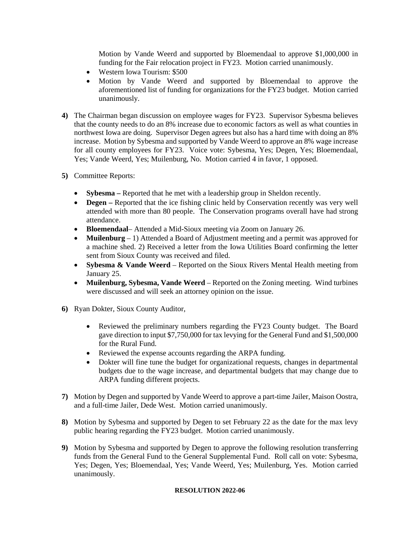Motion by Vande Weerd and supported by Bloemendaal to approve \$1,000,000 in funding for the Fair relocation project in FY23. Motion carried unanimously.

- Western Iowa Tourism: \$500
- Motion by Vande Weerd and supported by Bloemendaal to approve the aforementioned list of funding for organizations for the FY23 budget. Motion carried unanimously.
- **4)** The Chairman began discussion on employee wages for FY23. Supervisor Sybesma believes that the county needs to do an 8% increase due to economic factors as well as what counties in northwest Iowa are doing. Supervisor Degen agrees but also has a hard time with doing an 8% increase. Motion by Sybesma and supported by Vande Weerd to approve an 8% wage increase for all county employees for FY23. Voice vote: Sybesma, Yes; Degen, Yes; Bloemendaal, Yes; Vande Weerd, Yes; Muilenburg, No. Motion carried 4 in favor, 1 opposed.
- **5)** Committee Reports:
	- **Sybesma** Reported that he met with a leadership group in Sheldon recently.
	- **Degen** Reported that the ice fishing clinic held by Conservation recently was very well attended with more than 80 people. The Conservation programs overall have had strong attendance.
	- **Bloemendaal** Attended a Mid-Sioux meeting via Zoom on January 26.
	- **Muilenburg**  1) Attended a Board of Adjustment meeting and a permit was approved for a machine shed. 2) Received a letter from the Iowa Utilities Board confirming the letter sent from Sioux County was received and filed.
	- **Sybesma & Vande Weerd**  Reported on the Sioux Rivers Mental Health meeting from January 25.
	- **Muilenburg, Sybesma, Vande Weerd**  Reported on the Zoning meeting. Wind turbines were discussed and will seek an attorney opinion on the issue.
- **6)** Ryan Dokter, Sioux County Auditor,
	- Reviewed the preliminary numbers regarding the FY23 County budget. The Board gave direction to input \$7,750,000 for tax levying for the General Fund and \$1,500,000 for the Rural Fund.
	- Reviewed the expense accounts regarding the ARPA funding.
	- Dokter will fine tune the budget for organizational requests, changes in departmental budgets due to the wage increase, and departmental budgets that may change due to ARPA funding different projects.
- **7)** Motion by Degen and supported by Vande Weerd to approve a part-time Jailer, Maison Oostra, and a full-time Jailer, Dede West. Motion carried unanimously.
- **8)** Motion by Sybesma and supported by Degen to set February 22 as the date for the max levy public hearing regarding the FY23 budget. Motion carried unanimously.
- **9)** Motion by Sybesma and supported by Degen to approve the following resolution transferring funds from the General Fund to the General Supplemental Fund. Roll call on vote: Sybesma, Yes; Degen, Yes; Bloemendaal, Yes; Vande Weerd, Yes; Muilenburg, Yes. Motion carried unanimously.

### **RESOLUTION 2022-06**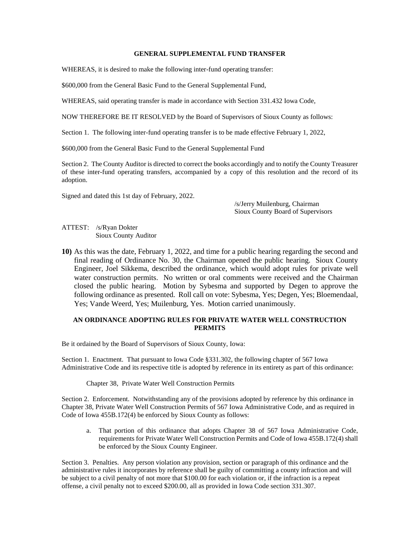#### **GENERAL SUPPLEMENTAL FUND TRANSFER**

WHEREAS, it is desired to make the following inter-fund operating transfer:

\$600,000 from the General Basic Fund to the General Supplemental Fund,

WHEREAS, said operating transfer is made in accordance with Section 331.432 Iowa Code,

NOW THEREFORE BE IT RESOLVED by the Board of Supervisors of Sioux County as follows:

Section 1. The following inter-fund operating transfer is to be made effective February 1, 2022,

\$600,000 from the General Basic Fund to the General Supplemental Fund

Section 2. The County Auditor is directed to correct the books accordingly and to notify the County Treasurer of these inter-fund operating transfers, accompanied by a copy of this resolution and the record of its adoption.

Signed and dated this 1st day of February, 2022.

/s/Jerry Muilenburg, Chairman Sioux County Board of Supervisors

ATTEST: /s/Ryan Dokter Sioux County Auditor

**10)** As this was the date, February 1, 2022, and time for a public hearing regarding the second and final reading of Ordinance No. 30, the Chairman opened the public hearing. Sioux County Engineer, Joel Sikkema, described the ordinance, which would adopt rules for private well water construction permits. No written or oral comments were received and the Chairman closed the public hearing. Motion by Sybesma and supported by Degen to approve the following ordinance as presented. Roll call on vote: Sybesma, Yes; Degen, Yes; Bloemendaal, Yes; Vande Weerd, Yes; Muilenburg, Yes. Motion carried unanimously.

### **AN ORDINANCE ADOPTING RULES FOR PRIVATE WATER WELL CONSTRUCTION PERMITS**

Be it ordained by the Board of Supervisors of Sioux County, Iowa:

Section 1. Enactment. That pursuant to Iowa Code §331.302, the following chapter of 567 Iowa Administrative Code and its respective title is adopted by reference in its entirety as part of this ordinance:

Chapter 38, Private Water Well Construction Permits

Section 2. Enforcement. Notwithstanding any of the provisions adopted by reference by this ordinance in Chapter 38, Private Water Well Construction Permits of 567 Iowa Administrative Code, and as required in Code of Iowa 455B.172(4) be enforced by Sioux County as follows:

a. That portion of this ordinance that adopts Chapter 38 of 567 Iowa Administrative Code, requirements for Private Water Well Construction Permits and Code of Iowa 455B.172(4) shall be enforced by the Sioux County Engineer.

Section 3. Penalties. Any person violation any provision, section or paragraph of this ordinance and the administrative rules it incorporates by reference shall be guilty of committing a county infraction and will be subject to a civil penalty of not more that \$100.00 for each violation or, if the infraction is a repeat offense, a civil penalty not to exceed \$200.00, all as provided in Iowa Code section 331.307.